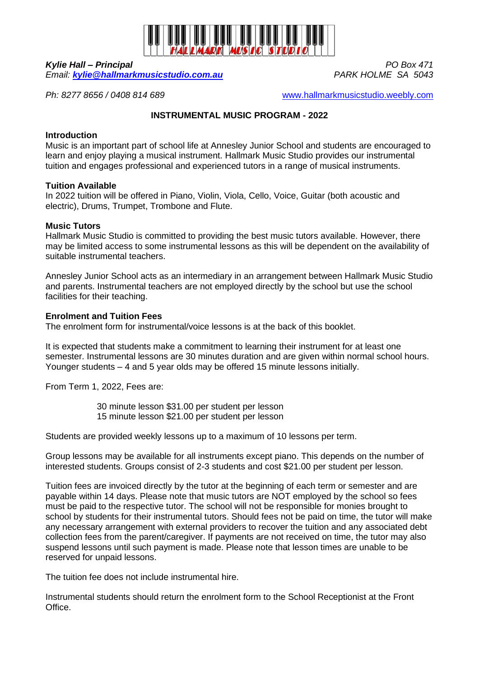

*Kylie Hall – Principal PO Box 471 Email:* **[kylie@hallmarkmusicstudio.com.au](mailto:kylie@hallmarkmusicstudio.com.au)** 

*Ph: 8277 8656 / 0408 814 689* [www.hallmarkmusicstudio.weebly.com](http://www.hallmarkmusicstudio.weebly.com/)

# **INSTRUMENTAL MUSIC PROGRAM - 2022**

## **Introduction**

Music is an important part of school life at Annesley Junior School and students are encouraged to learn and enjoy playing a musical instrument. Hallmark Music Studio provides our instrumental tuition and engages professional and experienced tutors in a range of musical instruments.

### **Tuition Available**

In 2022 tuition will be offered in Piano, Violin, Viola, Cello, Voice, Guitar (both acoustic and electric), Drums, Trumpet, Trombone and Flute.

### **Music Tutors**

Hallmark Music Studio is committed to providing the best music tutors available. However, there may be limited access to some instrumental lessons as this will be dependent on the availability of suitable instrumental teachers.

Annesley Junior School acts as an intermediary in an arrangement between Hallmark Music Studio and parents. Instrumental teachers are not employed directly by the school but use the school facilities for their teaching.

## **Enrolment and Tuition Fees**

The enrolment form for instrumental/voice lessons is at the back of this booklet.

It is expected that students make a commitment to learning their instrument for at least one semester. Instrumental lessons are 30 minutes duration and are given within normal school hours. Younger students – 4 and 5 year olds may be offered 15 minute lessons initially.

From Term 1, 2022, Fees are:

30 minute lesson \$31.00 per student per lesson 15 minute lesson \$21.00 per student per lesson

Students are provided weekly lessons up to a maximum of 10 lessons per term.

Group lessons may be available for all instruments except piano. This depends on the number of interested students. Groups consist of 2-3 students and cost \$21.00 per student per lesson.

Tuition fees are invoiced directly by the tutor at the beginning of each term or semester and are payable within 14 days. Please note that music tutors are NOT employed by the school so fees must be paid to the respective tutor. The school will not be responsible for monies brought to school by students for their instrumental tutors. Should fees not be paid on time, the tutor will make any necessary arrangement with external providers to recover the tuition and any associated debt collection fees from the parent/caregiver. If payments are not received on time, the tutor may also suspend lessons until such payment is made. Please note that lesson times are unable to be reserved for unpaid lessons.

The tuition fee does not include instrumental hire.

Instrumental students should return the enrolment form to the School Receptionist at the Front Office.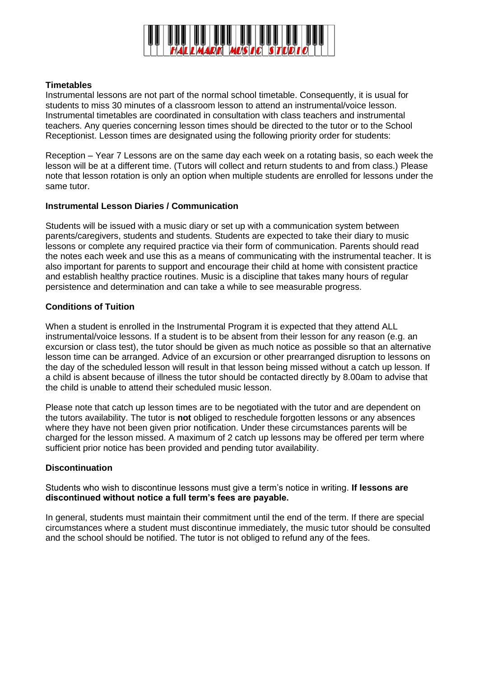

## **Timetables**

Instrumental lessons are not part of the normal school timetable. Consequently, it is usual for students to miss 30 minutes of a classroom lesson to attend an instrumental/voice lesson. Instrumental timetables are coordinated in consultation with class teachers and instrumental teachers. Any queries concerning lesson times should be directed to the tutor or to the School Receptionist. Lesson times are designated using the following priority order for students:

Reception – Year 7 Lessons are on the same day each week on a rotating basis, so each week the lesson will be at a different time. (Tutors will collect and return students to and from class.) Please note that lesson rotation is only an option when multiple students are enrolled for lessons under the same tutor.

#### **Instrumental Lesson Diaries / Communication**

Students will be issued with a music diary or set up with a communication system between parents/caregivers, students and students. Students are expected to take their diary to music lessons or complete any required practice via their form of communication. Parents should read the notes each week and use this as a means of communicating with the instrumental teacher. It is also important for parents to support and encourage their child at home with consistent practice and establish healthy practice routines. Music is a discipline that takes many hours of regular persistence and determination and can take a while to see measurable progress.

### **Conditions of Tuition**

When a student is enrolled in the Instrumental Program it is expected that they attend ALL instrumental/voice lessons. If a student is to be absent from their lesson for any reason (e.g. an excursion or class test), the tutor should be given as much notice as possible so that an alternative lesson time can be arranged. Advice of an excursion or other prearranged disruption to lessons on the day of the scheduled lesson will result in that lesson being missed without a catch up lesson. If a child is absent because of illness the tutor should be contacted directly by 8.00am to advise that the child is unable to attend their scheduled music lesson.

Please note that catch up lesson times are to be negotiated with the tutor and are dependent on the tutors availability. The tutor is **not** obliged to reschedule forgotten lessons or any absences where they have not been given prior notification. Under these circumstances parents will be charged for the lesson missed. A maximum of 2 catch up lessons may be offered per term where sufficient prior notice has been provided and pending tutor availability.

### **Discontinuation**

Students who wish to discontinue lessons must give a term's notice in writing. **If lessons are discontinued without notice a full term's fees are payable.** 

In general, students must maintain their commitment until the end of the term. If there are special circumstances where a student must discontinue immediately, the music tutor should be consulted and the school should be notified. The tutor is not obliged to refund any of the fees.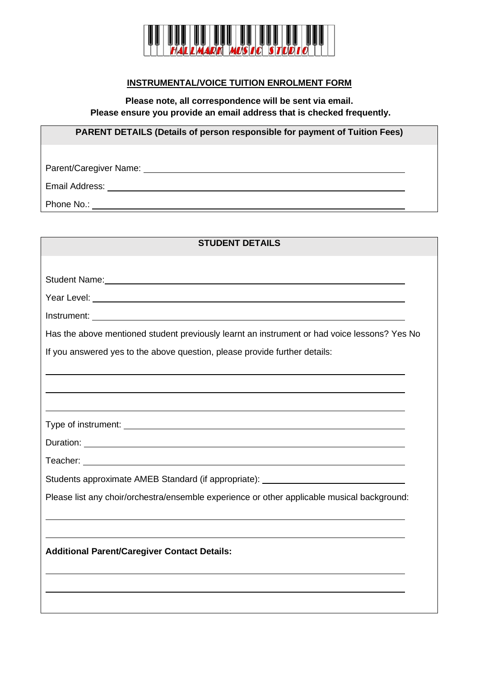

# **INSTRUMENTAL/VOICE TUITION ENROLMENT FORM**

**Please note, all correspondence will be sent via email. Please ensure you provide an email address that is checked frequently.**

**PARENT DETAILS (Details of person responsible for payment of Tuition Fees)**

Parent/Caregiver Name:

Email Address:

Phone No.:

| <b>STUDENT DETAILS</b>                                                                       |
|----------------------------------------------------------------------------------------------|
|                                                                                              |
|                                                                                              |
|                                                                                              |
|                                                                                              |
| Has the above mentioned student previously learnt an instrument or had voice lessons? Yes No |
| If you answered yes to the above question, please provide further details:                   |
|                                                                                              |
|                                                                                              |
|                                                                                              |
|                                                                                              |
|                                                                                              |
|                                                                                              |
| Students approximate AMEB Standard (if appropriate): ___________________________             |
| Please list any choir/orchestra/ensemble experience or other applicable musical background:  |
|                                                                                              |
|                                                                                              |
| <b>Additional Parent/Caregiver Contact Details:</b>                                          |
|                                                                                              |
|                                                                                              |
|                                                                                              |
|                                                                                              |